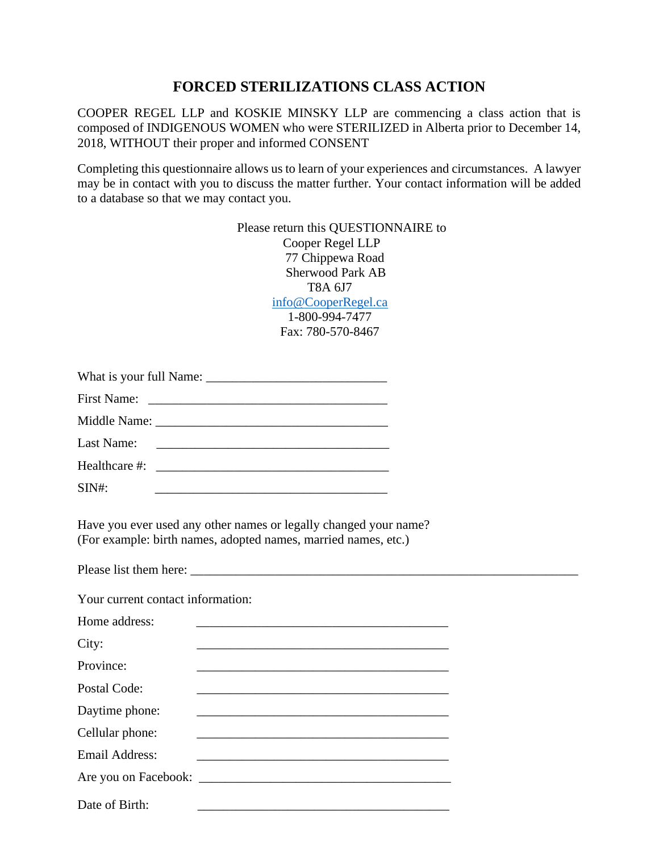## **FORCED STERILIZATIONS CLASS ACTION**

COOPER REGEL LLP and KOSKIE MINSKY LLP are commencing a class action that is composed of INDIGENOUS WOMEN who were STERILIZED in Alberta prior to December 14, 2018, WITHOUT their proper and informed CONSENT

Completing this questionnaire allows us to learn of your experiences and circumstances. A lawyer may be in contact with you to discuss the matter further. Your contact information will be added to a database so that we may contact you.

| Please return this QUESTIONNAIRE to |
|-------------------------------------|
| Cooper Regel LLP                    |
| 77 Chippewa Road                    |
| <b>Sherwood Park AB</b>             |
| T8A 6.I7                            |
| info@CooperRegel.ca                 |
| 1-800-994-7477                      |
| Fax: 780-570-8467                   |

|          | Healthcare #: |
|----------|---------------|
| $SIN#$ : |               |

Have you ever used any other names or legally changed your name? (For example: birth names, adopted names, married names, etc.)

Please list them here:

Your current contact information:

Home address:  $City:$ Province: Postal Code: Daytime phone: Cellular phone: Email Address: \_\_\_\_\_\_\_\_\_\_\_\_\_\_\_\_\_\_\_\_\_\_\_\_\_\_\_\_\_\_\_\_\_\_\_\_\_\_\_ Are you on Facebook: \_\_\_\_\_\_\_\_\_\_\_\_\_\_\_\_\_\_\_\_\_\_\_\_\_\_\_\_\_\_\_\_\_\_\_\_\_\_\_ Date of Birth: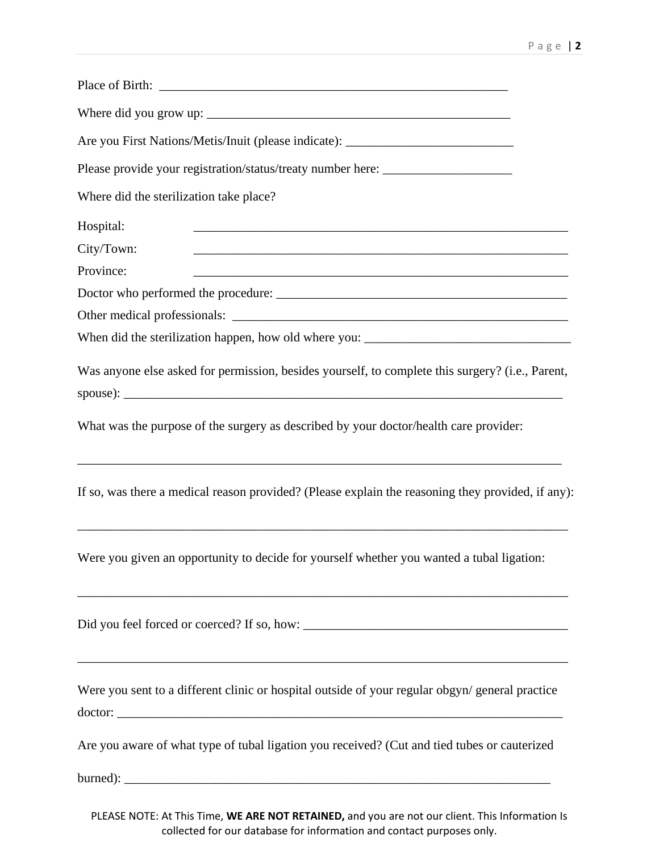| ,我们也不会有什么。""我们的人,我们也不会有什么?""我们的人,我们也不会有什么?""我们的人,我们也不会有什么?""我们的人,我们也不会有什么?""我们的人 |                                                                                                           |
|----------------------------------------------------------------------------------|-----------------------------------------------------------------------------------------------------------|
|                                                                                  |                                                                                                           |
|                                                                                  | Are you First Nations/Metis/Inuit (please indicate): ____________________________                         |
|                                                                                  | Please provide your registration/status/treaty number here: ____________________                          |
|                                                                                  | Where did the sterilization take place?                                                                   |
|                                                                                  | Hospital:                                                                                                 |
|                                                                                  | City/Town:                                                                                                |
|                                                                                  | Province:                                                                                                 |
|                                                                                  |                                                                                                           |
|                                                                                  |                                                                                                           |
|                                                                                  |                                                                                                           |
|                                                                                  | Was anyone else asked for permission, besides yourself, to complete this surgery? (i.e., Parent,          |
|                                                                                  | What was the purpose of the surgery as described by your doctor/health care provider:                     |
|                                                                                  | If so, was there a medical reason provided? (Please explain the reasoning they provided, if any):         |
|                                                                                  | Were you given an opportunity to decide for yourself whether you wanted a tubal ligation:                 |
|                                                                                  |                                                                                                           |
|                                                                                  | Were you sent to a different clinic or hospital outside of your regular obgyn/general practice<br>doctor: |
|                                                                                  | Are you aware of what type of tubal ligation you received? (Cut and tied tubes or cauterized              |
|                                                                                  |                                                                                                           |
|                                                                                  |                                                                                                           |

PLEASE NOTE: At This Time, **WE ARE NOT RETAINED,** and you are not our client. This Information Is collected for our database for information and contact purposes only.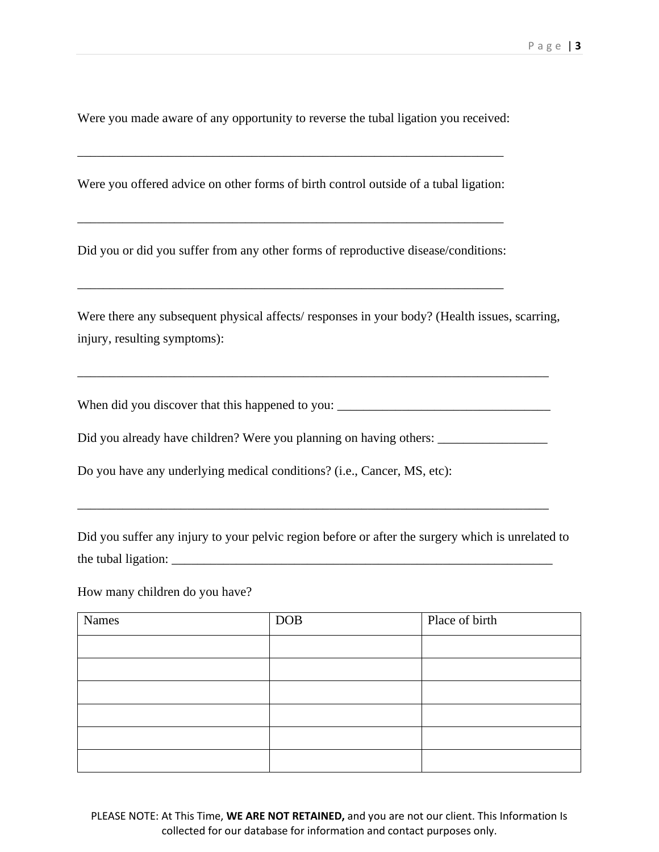Were you made aware of any opportunity to reverse the tubal ligation you received:

Were you offered advice on other forms of birth control outside of a tubal ligation:

\_\_\_\_\_\_\_\_\_\_\_\_\_\_\_\_\_\_\_\_\_\_\_\_\_\_\_\_\_\_\_\_\_\_\_\_\_\_\_\_\_\_\_\_\_\_\_\_\_\_\_\_\_\_\_\_\_\_\_\_\_\_\_\_\_\_

\_\_\_\_\_\_\_\_\_\_\_\_\_\_\_\_\_\_\_\_\_\_\_\_\_\_\_\_\_\_\_\_\_\_\_\_\_\_\_\_\_\_\_\_\_\_\_\_\_\_\_\_\_\_\_\_\_\_\_\_\_\_\_\_\_\_

Did you or did you suffer from any other forms of reproductive disease/conditions:

\_\_\_\_\_\_\_\_\_\_\_\_\_\_\_\_\_\_\_\_\_\_\_\_\_\_\_\_\_\_\_\_\_\_\_\_\_\_\_\_\_\_\_\_\_\_\_\_\_\_\_\_\_\_\_\_\_\_\_\_\_\_\_\_\_\_

Were there any subsequent physical affects/ responses in your body? (Health issues, scarring, injury, resulting symptoms):

When did you discover that this happened to you: \_\_\_\_\_\_\_\_\_\_\_\_\_\_\_\_\_\_\_\_\_\_\_\_\_\_\_\_\_\_\_\_

\_\_\_\_\_\_\_\_\_\_\_\_\_\_\_\_\_\_\_\_\_\_\_\_\_\_\_\_\_\_\_\_\_\_\_\_\_\_\_\_\_\_\_\_\_\_\_\_\_\_\_\_\_\_\_\_\_\_\_\_\_\_\_\_\_\_\_\_\_\_\_\_\_

Did you already have children? Were you planning on having others: \_\_\_\_\_\_\_\_\_\_\_\_\_\_

Do you have any underlying medical conditions? (i.e., Cancer, MS, etc):

Did you suffer any injury to your pelvic region before or after the surgery which is unrelated to the tubal ligation:

\_\_\_\_\_\_\_\_\_\_\_\_\_\_\_\_\_\_\_\_\_\_\_\_\_\_\_\_\_\_\_\_\_\_\_\_\_\_\_\_\_\_\_\_\_\_\_\_\_\_\_\_\_\_\_\_\_\_\_\_\_\_\_\_\_\_\_\_\_\_\_\_\_

How many children do you have?

| Names | <b>DOB</b> | Place of birth |
|-------|------------|----------------|
|       |            |                |
|       |            |                |
|       |            |                |
|       |            |                |
|       |            |                |
|       |            |                |

PLEASE NOTE: At This Time, **WE ARE NOT RETAINED,** and you are not our client. This Information Is collected for our database for information and contact purposes only.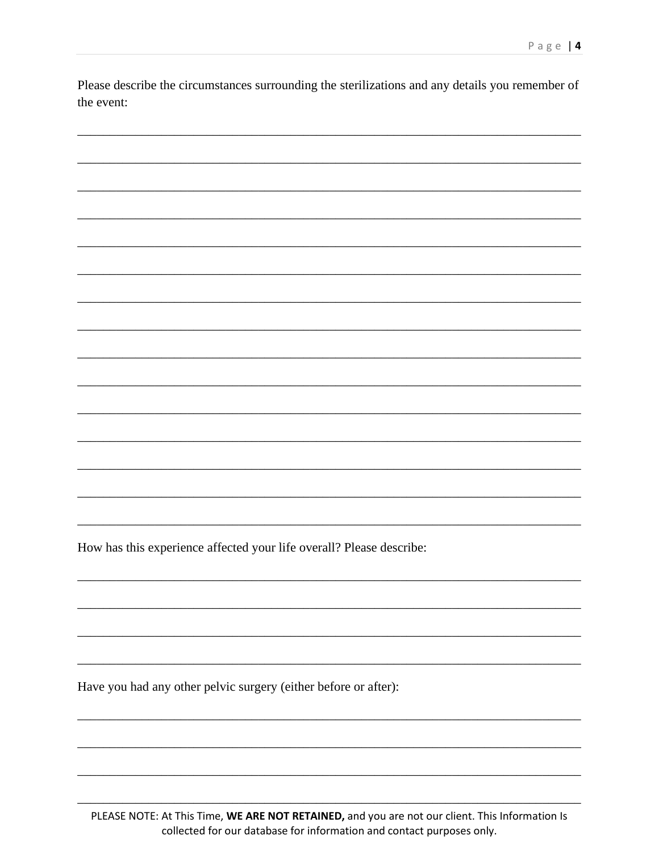Please describe the circumstances surrounding the sterilizations and any details you remember of the event:

How has this experience affected your life overall? Please describe:

Have you had any other pelvic surgery (either before or after):

PLEASE NOTE: At This Time, WE ARE NOT RETAINED, and you are not our client. This Information Is collected for our database for information and contact purposes only.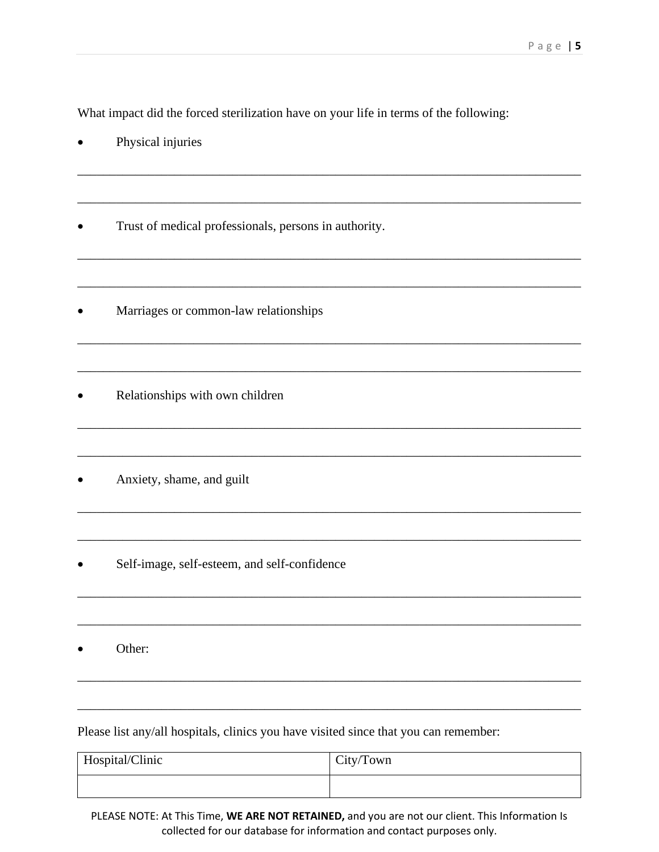What impact did the forced sterilization have on your life in terms of the following:

\_\_\_\_\_\_\_\_\_\_\_\_\_\_\_\_\_\_\_\_\_\_\_\_\_\_\_\_\_\_\_\_\_\_\_\_\_\_\_\_\_\_\_\_\_\_\_\_\_\_\_\_\_\_\_\_\_\_\_\_\_\_\_\_\_\_\_\_\_\_\_\_\_\_\_\_\_\_

\_\_\_\_\_\_\_\_\_\_\_\_\_\_\_\_\_\_\_\_\_\_\_\_\_\_\_\_\_\_\_\_\_\_\_\_\_\_\_\_\_\_\_\_\_\_\_\_\_\_\_\_\_\_\_\_\_\_\_\_\_\_\_\_\_\_\_\_\_\_\_\_\_\_\_\_\_\_

\_\_\_\_\_\_\_\_\_\_\_\_\_\_\_\_\_\_\_\_\_\_\_\_\_\_\_\_\_\_\_\_\_\_\_\_\_\_\_\_\_\_\_\_\_\_\_\_\_\_\_\_\_\_\_\_\_\_\_\_\_\_\_\_\_\_\_\_\_\_\_\_\_\_\_\_\_\_

\_\_\_\_\_\_\_\_\_\_\_\_\_\_\_\_\_\_\_\_\_\_\_\_\_\_\_\_\_\_\_\_\_\_\_\_\_\_\_\_\_\_\_\_\_\_\_\_\_\_\_\_\_\_\_\_\_\_\_\_\_\_\_\_\_\_\_\_\_\_\_\_\_\_\_\_\_\_

\_\_\_\_\_\_\_\_\_\_\_\_\_\_\_\_\_\_\_\_\_\_\_\_\_\_\_\_\_\_\_\_\_\_\_\_\_\_\_\_\_\_\_\_\_\_\_\_\_\_\_\_\_\_\_\_\_\_\_\_\_\_\_\_\_\_\_\_\_\_\_\_\_\_\_\_\_\_

\_\_\_\_\_\_\_\_\_\_\_\_\_\_\_\_\_\_\_\_\_\_\_\_\_\_\_\_\_\_\_\_\_\_\_\_\_\_\_\_\_\_\_\_\_\_\_\_\_\_\_\_\_\_\_\_\_\_\_\_\_\_\_\_\_\_\_\_\_\_\_\_\_\_\_\_\_\_

\_\_\_\_\_\_\_\_\_\_\_\_\_\_\_\_\_\_\_\_\_\_\_\_\_\_\_\_\_\_\_\_\_\_\_\_\_\_\_\_\_\_\_\_\_\_\_\_\_\_\_\_\_\_\_\_\_\_\_\_\_\_\_\_\_\_\_\_\_\_\_\_\_\_\_\_\_\_

\_\_\_\_\_\_\_\_\_\_\_\_\_\_\_\_\_\_\_\_\_\_\_\_\_\_\_\_\_\_\_\_\_\_\_\_\_\_\_\_\_\_\_\_\_\_\_\_\_\_\_\_\_\_\_\_\_\_\_\_\_\_\_\_\_\_\_\_\_\_\_\_\_\_\_\_\_\_

\_\_\_\_\_\_\_\_\_\_\_\_\_\_\_\_\_\_\_\_\_\_\_\_\_\_\_\_\_\_\_\_\_\_\_\_\_\_\_\_\_\_\_\_\_\_\_\_\_\_\_\_\_\_\_\_\_\_\_\_\_\_\_\_\_\_\_\_\_\_\_\_\_\_\_\_\_\_

\_\_\_\_\_\_\_\_\_\_\_\_\_\_\_\_\_\_\_\_\_\_\_\_\_\_\_\_\_\_\_\_\_\_\_\_\_\_\_\_\_\_\_\_\_\_\_\_\_\_\_\_\_\_\_\_\_\_\_\_\_\_\_\_\_\_\_\_\_\_\_\_\_\_\_\_\_\_

\_\_\_\_\_\_\_\_\_\_\_\_\_\_\_\_\_\_\_\_\_\_\_\_\_\_\_\_\_\_\_\_\_\_\_\_\_\_\_\_\_\_\_\_\_\_\_\_\_\_\_\_\_\_\_\_\_\_\_\_\_\_\_\_\_\_\_\_\_\_\_\_\_\_\_\_\_\_

\_\_\_\_\_\_\_\_\_\_\_\_\_\_\_\_\_\_\_\_\_\_\_\_\_\_\_\_\_\_\_\_\_\_\_\_\_\_\_\_\_\_\_\_\_\_\_\_\_\_\_\_\_\_\_\_\_\_\_\_\_\_\_\_\_\_\_\_\_\_\_\_\_\_\_\_\_\_

\_\_\_\_\_\_\_\_\_\_\_\_\_\_\_\_\_\_\_\_\_\_\_\_\_\_\_\_\_\_\_\_\_\_\_\_\_\_\_\_\_\_\_\_\_\_\_\_\_\_\_\_\_\_\_\_\_\_\_\_\_\_\_\_\_\_\_\_\_\_\_\_\_\_\_\_\_\_

\_\_\_\_\_\_\_\_\_\_\_\_\_\_\_\_\_\_\_\_\_\_\_\_\_\_\_\_\_\_\_\_\_\_\_\_\_\_\_\_\_\_\_\_\_\_\_\_\_\_\_\_\_\_\_\_\_\_\_\_\_\_\_\_\_\_\_\_\_\_\_\_\_\_\_\_\_\_

- Physical injuries
- Trust of medical professionals, persons in authority.
- Marriages or common-law relationships
- Relationships with own children
- Anxiety, shame, and guilt
- Self-image, self-esteem, and self-confidence
- Other:

Please list any/all hospitals, clinics you have visited since that you can remember:

| Hospital/Clinic | City/Town |
|-----------------|-----------|
|                 |           |

PLEASE NOTE: At This Time, **WE ARE NOT RETAINED,** and you are not our client. This Information Is collected for our database for information and contact purposes only.